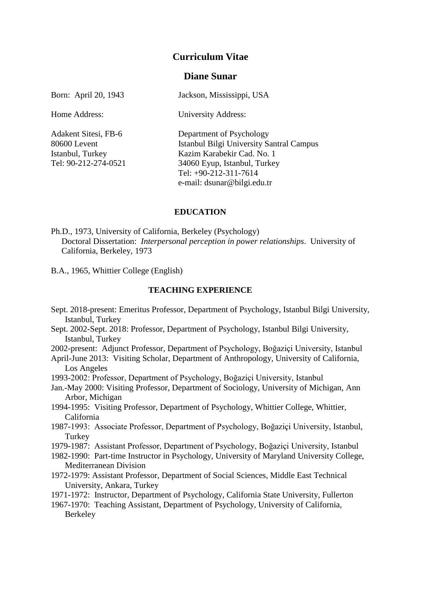# **Curriculum Vitae**

# **Diane Sunar**

Born: April 20, 1943 Jackson, Mississippi, USA Home Address: University Address: Adakent Sitesi, FB-6 Department of Psychology 80600 Levent Istanbul Bilgi University Santral Campus Istanbul, Turkey Kazim Karabekir Cad. No. 1 Tel: 90-212-274-0521 34060 Eyup, Istanbul, Turkey

### **EDUCATION**

Tel: +90-212-311-7614 e-mail: dsunar@bilgi.edu.tr

Ph.D., 1973, University of California, Berkeley (Psychology) Doctoral Dissertation: *Interpersonal perception in power relationships*. University of California, Berkeley, 1973

B.A., 1965, Whittier College (English)

#### **TEACHING EXPERIENCE**

- Sept. 2018-present: Emeritus Professor, Department of Psychology, Istanbul Bilgi University, Istanbul, Turkey
- Sept. 2002-Sept. 2018: Professor, Department of Psychology, Istanbul Bilgi University, Istanbul, Turkey
- 2002-present: Adjunct Professor, Department of Psychology, Boğaziçi University, Istanbul
- April-June 2013: Visiting Scholar, Department of Anthropology, University of California, Los Angeles
- 1993-2002: Professor, Department of Psychology, Boğaziçi University, Istanbul
- Jan.-May 2000: Visiting Professor, Department of Sociology, University of Michigan, Ann Arbor, Michigan
- 1994-1995: Visiting Professor, Department of Psychology, Whittier College, Whittier, California
- 1987-1993: Associate Professor, Department of Psychology, Boğaziçi University, Istanbul, **Turkey**
- 1979-1987: Assistant Professor, Department of Psychology, Boğaziçi University, Istanbul
- 1982-1990: Part-time Instructor in Psychology, University of Maryland University College, Mediterranean Division
- 1972-1979: Assistant Professor, Department of Social Sciences, Middle East Technical University, Ankara, Turkey
- 1971-1972: Instructor, Department of Psychology, California State University, Fullerton
- 1967-1970: Teaching Assistant, Department of Psychology, University of California, Berkeley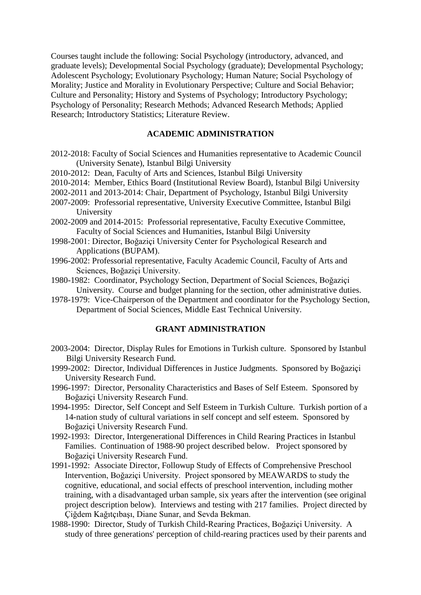Courses taught include the following: Social Psychology (introductory, advanced, and graduate levels); Developmental Social Psychology (graduate); Developmental Psychology; Adolescent Psychology; Evolutionary Psychology; Human Nature; Social Psychology of Morality; Justice and Morality in Evolutionary Perspective; Culture and Social Behavior; Culture and Personality; History and Systems of Psychology; Introductory Psychology; Psychology of Personality; Research Methods; Advanced Research Methods; Applied Research; Introductory Statistics; Literature Review.

## **ACADEMIC ADMINISTRATION**

- 2012-2018: Faculty of Social Sciences and Humanities representative to Academic Council (University Senate), Istanbul Bilgi University
- 2010-2012: Dean, Faculty of Arts and Sciences, Istanbul Bilgi University
- 2010-2014: Member, Ethics Board (Institutional Review Board), Istanbul Bilgi University
- 2002-2011 and 2013-2014: Chair, Department of Psychology, Istanbul Bilgi University
- 2007-2009: Professorial representative, University Executive Committee, Istanbul Bilgi University
- 2002-2009 and 2014-2015: Professorial representative, Faculty Executive Committee, Faculty of Social Sciences and Humanities, Istanbul Bilgi University
- 1998-2001: Director, Boğaziçi University Center for Psychological Research and Applications (BUPAM).
- 1996-2002: Professorial representative, Faculty Academic Council, Faculty of Arts and Sciences, Boğaziçi University.
- 1980-1982: Coordinator, Psychology Section, Department of Social Sciences, Boğaziçi University. Course and budget planning for the section, other administrative duties.
- 1978-1979: Vice-Chairperson of the Department and coordinator for the Psychology Section, Department of Social Sciences, Middle East Technical University.

# **GRANT ADMINISTRATION**

- 2003-2004: Director, Display Rules for Emotions in Turkish culture. Sponsored by Istanbul Bilgi University Research Fund.
- 1999-2002: Director, Individual Differences in Justice Judgments. Sponsored by Boğaziçi University Research Fund.
- 1996-1997: Director, Personality Characteristics and Bases of Self Esteem. Sponsored by Boğaziçi University Research Fund.
- 1994-1995: Director, Self Concept and Self Esteem in Turkish Culture. Turkish portion of a 14-nation study of cultural variations in self concept and self esteem. Sponsored by Boğaziçi University Research Fund.
- 1992-1993: Director, Intergenerational Differences in Child Rearing Practices in Istanbul Families. Continuation of 1988-90 project described below. Project sponsored by Boğaziçi University Research Fund.
- 1991-1992: Associate Director, Followup Study of Effects of Comprehensive Preschool Intervention, Boğaziçi University. Project sponsored by MEAWARDS to study the cognitive, educational, and social effects of preschool intervention, including mother training, with a disadvantaged urban sample, six years after the intervention (see original project description below). Interviews and testing with 217 families. Project directed by Çiğdem Kağıtçıbaşı, Diane Sunar, and Sevda Bekman.
- 1988-1990: Director, Study of Turkish Child-Rearing Practices, Boğaziçi University. A study of three generations' perception of child-rearing practices used by their parents and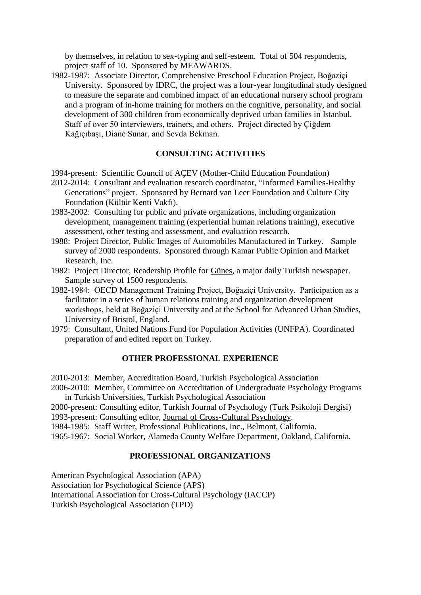by themselves, in relation to sex-typing and self-esteem. Total of 504 respondents, project staff of 10. Sponsored by MEAWARDS.

1982-1987: Associate Director, Comprehensive Preschool Education Project, Boğaziçi University. Sponsored by IDRC, the project was a four-year longitudinal study designed to measure the separate and combined impact of an educational nursery school program and a program of in-home training for mothers on the cognitive, personality, and social development of 300 children from economically deprived urban families in Istanbul. Staff of over 50 interviewers, trainers, and others. Project directed by Çiğdem Kağıçıbaşı, Diane Sunar, and Sevda Bekman.

# **CONSULTING ACTIVITIES**

1994-present: Scientific Council of AÇEV (Mother-Child Education Foundation)

2012-2014: Consultant and evaluation research coordinator, "Informed Families-Healthy Generations" project. Sponsored by Bernard van Leer Foundation and Culture City Foundation (Kültür Kenti Vakfı).

- 1983-2002: Consulting for public and private organizations, including organization development, management training (experiential human relations training), executive assessment, other testing and assessment, and evaluation research.
- 1988: Project Director, Public Images of Automobiles Manufactured in Turkey. Sample survey of 2000 respondents. Sponsored through Kamar Public Opinion and Market Research, Inc.
- 1982: Project Director, Readership Profile for Günes, a major daily Turkish newspaper. Sample survey of 1500 respondents.
- 1982-1984: OECD Management Training Project, Boğaziçi University. Participation as a facilitator in a series of human relations training and organization development workshops, held at Boğaziçi University and at the School for Advanced Urban Studies, University of Bristol, England.
- 1979: Consultant, United Nations Fund for Population Activities (UNFPA). Coordinated preparation of and edited report on Turkey.

### **OTHER PROFESSIONAL EXPERIENCE**

2010-2013: Member, Accreditation Board, Turkish Psychological Association

2006-2010: Member, Committee on Accreditation of Undergraduate Psychology Programs in Turkish Universities, Turkish Psychological Association

- 2000-present: Consulting editor, Turkish Journal of Psychology (Turk Psikoloji Dergisi)
- 1993-present: Consulting editor, Journal of Cross-Cultural Psychology.

1984-1985: Staff Writer, Professional Publications, Inc., Belmont, California.

1965-1967: Social Worker, Alameda County Welfare Department, Oakland, California.

# **PROFESSIONAL ORGANIZATIONS**

American Psychological Association (APA) Association for Psychological Science (APS)

International Association for Cross-Cultural Psychology (IACCP)

Turkish Psychological Association (TPD)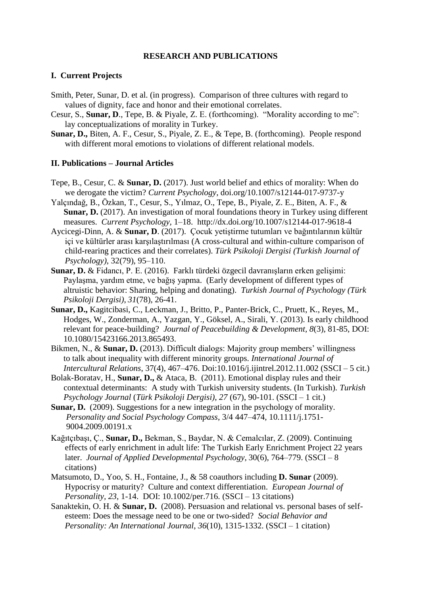## **RESEARCH AND PUBLICATIONS**

#### **I. Current Projects**

- Smith, Peter, Sunar, D. et al. (in progress). Comparison of three cultures with regard to values of dignity, face and honor and their emotional correlates.
- Cesur, S., **Sunar, D**., Tepe, B. & Piyale, Z. E. (forthcoming). "Morality according to me": lay conceptualizations of morality in Turkey.
- **Sunar, D.,** Biten, A. F., Cesur, S., Piyale, Z. E., & Tepe, B. (forthcoming). People respond with different moral emotions to violations of different relational models.

#### **II. Publications – Journal Articles**

- Tepe, B., Cesur, C. & **Sunar, D.** (2017). Just world belief and ethics of morality: When do we derogate the victim? *Current Psychology*, doi.org/10.1007/s12144-017-9737-y
- Yalçındağ, B., Özkan, T., Cesur, S., Yılmaz, O., Tepe, B., Piyale, Z. E., Biten, A. F., & **Sunar, D.** (2017). An investigation of moral foundations theory in Turkey using different measures. *Current Psychology,* 1–18. http://dx.doi.org/10.1007/s12144-017-9618-4
- Aycicegi-Dinn, A. & **Sunar, D**. (2017). Çocuk yetiştirme tutumları ve bağıntılarının kültür içi ve kültürler arası karşılaştırılması (A cross-cultural and within-culture comparison of child-rearing practices and their correlates). *Türk Psikoloji Dergisi (Turkish Journal of Psychology)*, 32(79), 95–110.
- **Sunar, D.** & Fidancı, P. E. (2016). Farklı türdeki özgecil davranışların erken gelişimi: Paylaşma, yardım etme, ve bağış yapma. (Early development of different types of altruistic behavior: Sharing, helping and donating). *Turkish Journal of Psychology (Türk Psikoloji Dergisi)*, *31*(78), 26-41.
- **Sunar, D.,** Kagitcibasi, C., Leckman, J., Britto, P., Panter-Brick, C., Pruett, K., Reyes, M., Hodges, W., Zonderman, A., Yazgan, Y., Göksel, A., Sirali, Y. (2013). Is early childhood relevant for peace-building? *Journal of Peacebuilding & Development, 8*(3), 81-85, DOI: 10.1080/15423166.2013.865493.
- Bikmen, N., & **Sunar, D.** (2013). Difficult dialogs: Majority group members' willingness to talk about inequality with different minority groups. *International Journal of Intercultural Relations*, 37(4), 467–476. Doi:10.1016/j.ijintrel.2012.11.002 (SSCI – 5 cit.)
- Bolak-Boratav, H., **Sunar, D.,** & Ataca, B. (2011). Emotional display rules and their contextual determinants: A study with Turkish university students. (In Turkish). *Turkish Psychology Journal* (*Türk Psikoloji Dergisi)*, *27* (67), 90-101. (SSCI – 1 cit.)
- **Sunar, D.** (2009). Suggestions for a new integration in the psychology of morality. *Personality and Social Psychology Compass*, 3/4 447–474, 10.1111/j.1751- 9004.2009.00191.x
- Kağıtçıbaşı, Ç., **Sunar, D.,** Bekman, S., Baydar, N. & Cemalcılar, Z. (2009). Continuing effects of early enrichment in adult life: The Turkish Early Enrichment Project 22 years later. *Journal of Applied Developmental Psychology*, 30(6), 764–779. (SSCI – 8 citations)
- Matsumoto, D., Yoo, S. H., Fontaine, J., & 58 coauthors including **D. Sunar** (2009). Hypocrisy or maturity? Culture and context differentiation. *European Journal of Personality, 23*, 1-14. DOI: 10.1002/per.716. (SSCI – 13 citations)
- Sanaktekin, O. H. & **Sunar, D.** (2008). Persuasion and relational vs. personal bases of selfesteem: Does the message need to be one or two-sided? *Social Behavior and Personality: An International Journal*, *36*(10), 1315-1332. (SSCI – 1 citation)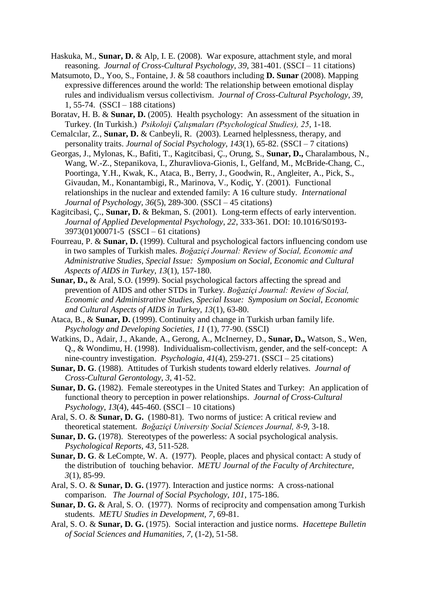- Haskuka, M., **Sunar, D.** & Alp, I. E. (2008). War exposure, attachment style, and moral reasoning. *Journal of Cross-Cultural Psychology, 39*, 381-401. (SSCI – 11 citations)
- Matsumoto, D., Yoo, S., Fontaine, J. & 58 coauthors including **D. Sunar** (2008). Mapping expressive differences around the world: The relationship between emotional display rules and individualism versus collectivism. *Journal of Cross-Cultural Psychology, 39,*  1, 55-74. (SSCI – 188 citations)
- Boratav, H. B. & **Sunar, D.** (2005). Health psychology: An assessment of the situation in Turkey. (In Turkish.) *Psikoloji Çalışmaları (Psychological Studies), 25*, 1-18.
- Cemalcılar, Z., **Sunar, D.** & Canbeyli, R. (2003). Learned helplessness, therapy, and personality traits. *Journal of Social Psychology*, *143*(1), 65-82. (SSCI – 7 citations)
- Georgas, J., Mylonas, K., Bafiti, T., Kagitcibasi, Ç., Orung, S., **Sunar, D.,** Charalambous, N., Wang, W.-Z., Stepanikova, I., Zhuravliova-Gionis, I., Gelfand, M., McBride-Chang, C., Poortinga, Y.H., Kwak, K., Ataca, B., Berry, J., Goodwin, R., Angleiter, A., Pick, S., Givaudan, M., Konantambigi, R., Marinova, V., Kodiç, Y. (2001). Functional relationships in the nuclear and extended family: A 16 culture study. *International Journal of Psychology, 36*(5), 289-300. (SSCI – 45 citations)
- Kagitcibasi, Ç., **Sunar, D.** & Bekman, S. (2001). Long-term effects of early intervention. *Journal of Applied Developmental Psychology, 22*, 333-361. DOI: 10.1016/S0193- 3973(01)00071-5 (SSCI – 61 citations)
- Fourreau, P. & **Sunar, D.** (1999). Cultural and psychological factors influencing condom use in two samples of Turkish males. *Boğaziçi Journal: Review of Social, Economic and Administrative Studies, Special Issue: Symposium on Social, Economic and Cultural Aspects of AIDS in Turkey, 13*(1), 157-180.
- **Sunar, D.,** & Aral, S.O. (1999). Social psychological factors affecting the spread and prevention of AIDS and other STDs in Turkey. *Boğaziçi Journal: Review of Social, Economic and Administrative Studies, Special Issue: Symposium on Social, Economic and Cultural Aspects of AIDS in Turkey, 13*(1), 63-80.
- Ataca, B., & **Sunar, D.** (1999). Continuity and change in Turkish urban family life. *Psychology and Developing Societies, 11* (1), 77-90. (SSCI)
- Watkins, D., Adair, J., Akande, A., Gerong, A., McInerney, D., **Sunar, D.,** Watson, S., Wen, Q., & Wondimu, H. (1998). Individualism-collectivism, gender, and the self-concept: A nine-country investigation. *Psychologia, 41*(4), 259-271. (SSCI – 25 citations)
- **Sunar, D. G**. (1988). Attitudes of Turkish students toward elderly relatives. *Journal of Cross-Cultural Gerontology, 3*, 41-52.
- **Sunar, D. G.** (1982). Female stereotypes in the United States and Turkey: An application of functional theory to perception in power relationships. *Journal of Cross-Cultural Psychology*, *13*(4), 445-460. (SSCI – 10 citations)
- Aral, S. O. & **Sunar, D. G.** (1980-81). Two norms of justice: A critical review and theoretical statement. *Boğaziçi University Social Sciences Journal, 8-9*, 3-18.
- **Sunar, D. G.** (1978). Stereotypes of the powerless: A social psychological analysis. *Psychological Reports, 43*, 511-528.
- **Sunar, D. G**. & LeCompte, W. A. (1977). People, places and physical contact: A study of the distribution of touching behavior. *METU Journal of the Faculty of Architecture, 3*(1), 85-99.
- Aral, S. O. & **Sunar, D. G.** (1977). Interaction and justice norms: A cross-national comparison. *The Journal of Social Psychology, 101*, 175-186.
- **Sunar, D. G.** & Aral, S. O. (1977). Norms of reciprocity and compensation among Turkish students. *METU Studies in Development, 7*, 69-81.
- Aral, S. O. & **Sunar, D. G.** (1975). Social interaction and justice norms. *Hacettepe Bulletin of Social Sciences and Humanities, 7,* (1-2), 51-58.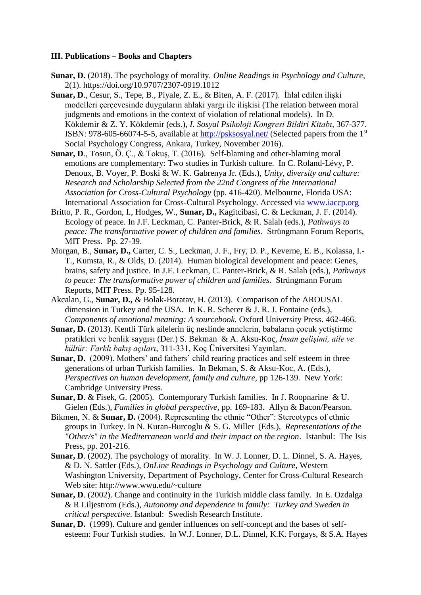### **III. Publications – Books and Chapters**

- **Sunar, D.** (2018). The psychology of morality. *Online Readings in Psychology and Culture*, 2(1). https://doi.org/10.9707/2307-0919.1012
- **Sunar, D**., Cesur, S., Tepe, B., Piyale, Z. E., & Biten, A. F. (2017). İhlal edilen ilişki modelleri çerçevesinde duyguların ahlaki yargı ile ilişkisi (The relation between moral judgments and emotions in the context of violation of relational models). In D. Kökdemir & Z. Y. Kökdemir (eds.), *I. Sosyal Psikoloji Kongresi Bildiri Kitabı*, 367-377. ISBN: 978-605-66074-5-5, available at<http://psksosyal.net/> (Selected papers from the 1st Social Psychology Congress, Ankara, Turkey, November 2016).
- **Sunar, D**., Tosun, Ö. Ç., & Tokuş, T. (2016). Self-blaming and other-blaming moral emotions are complementary: Two studies in Turkish culture. In C. Roland-Lévy, P. Denoux, B. Voyer, P. Boski & W. K. Gabrenya Jr. (Eds.), *Unity, diversity and culture: Research and Scholarship Selected from the 22nd Congress of the International Association for Cross-Cultural Psychology* (pp. 416-420). Melbourne, Florida USA: International Association for Cross-Cultural Psychology. Accessed via [www.iaccp.org](http://www.iaccp.org/)
- Britto, P. R., Gordon, I., Hodges, W., **Sunar, D.,** Kagitcibasi, C. & Leckman, J. F. (2014). Ecology of peace. In J.F. Leckman, C. Panter-Brick, & R. Salah (eds.), *Pathways to peace: The transformative power of children and families*. Strüngmann Forum Reports, MIT Press. Pp. 27-39.
- Morgan, B., **Sunar, D.,** Carter, C. S., Leckman, J. F., Fry, D. P., Keverne, E. B., Kolassa, I.- T., Kumsta, R., & Olds, D. (2014). Human biological development and peace: Genes, brains, safety and justice. In J.F. Leckman, C. Panter-Brick, & R. Salah (eds.), *Pathways to peace: The transformative power of children and families*. Strüngmann Forum Reports, MIT Press. Pp. 95-128.
- Akcalan, G., **Sunar, D.,** & Bolak-Boratav, H. (2013). Comparison of the AROUSAL dimension in Turkey and the USA. In K. R. Scherer & J. R. J. Fontaine (eds.), *Components of emotional meaning: A sourcebook.* Oxford University Press. 462-466.
- **Sunar, D.** (2013). Kentli Türk ailelerin üç neslinde annelerin, babaların çocuk yetiştirme pratikleri ve benlik saygısı (Der.) S. Bekman & A. Aksu-Koç, *İnsan gelişimi, aile ve kültür: Farklı bakış açıları*, 311-331, Koç Üniversitesi Yayınları.
- **Sunar, D.** (2009). Mothers' and fathers' child rearing practices and self esteem in three generations of urban Turkish families. In Bekman, S. & Aksu-Koc, A. (Eds.), *Perspectives on human development, family and culture, pp 126-139. New York:* Cambridge University Press.
- **Sunar, D**. & Fisek, G. (2005). Contemporary Turkish families. In J. Roopnarine & U. Gielen (Eds.), *Families in global perspective*, pp. 169-183. Allyn & Bacon/Pearson.
- Bikmen, N. & **Sunar, D.** (2004). Representing the ethnic "Other": Stereotypes of ethnic groups in Turkey. In N. Kuran-Burcoglu & S. G. Miller (Eds.), *Representations of the "Other/s" in the Mediterranean world and their impact on the region*. Istanbul: The Isis Press, pp. 201-216.
- **Sunar, D**. (2002). The psychology of morality. In W. J. Lonner, D. L. Dinnel, S. A. Hayes, & D. N. Sattler (Eds.), *OnLine Readings in Psychology and Culture*, Western Washington University, Department of Psychology, Center for Cross-Cultural Research Web site: http://www.wwu.edu/~culture
- **Sunar, D**. (2002). Change and continuity in the Turkish middle class family. In E. Ozdalga & R Liljestrom (Eds.), *Autonomy and dependence in family: Turkey and Sweden in critical perspective*. Istanbul: Swedish Research Institute.
- **Sunar, D.** (1999). Culture and gender influences on self-concept and the bases of selfesteem: Four Turkish studies. In W.J. Lonner, D.L. Dinnel, K.K. Forgays, & S.A. Hayes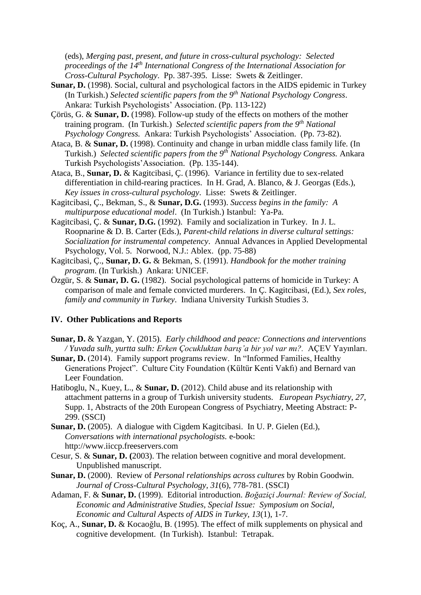(eds), *Merging past, present, and future in cross-cultural psychology: Selected proceedings of the 14th International Congress of the International Association for Cross-Cultural Psychology*. Pp. 387-395. Lisse: Swets & Zeitlinger.

- **Sunar, D.** (1998). Social, cultural and psychological factors in the AIDS epidemic in Turkey (In Turkish.) *Selected scientific papers from the 9th National Psychology Congress*. Ankara: Turkish Psychologists' Association. (Pp. 113-122)
- Çörüs, G. & **Sunar, D.** (1998). Follow-up study of the effects on mothers of the mother training program. (In Turkish.) *Selected scientific papers from the 9th National Psychology Congress.* Ankara: Turkish Psychologists' Association. (Pp. 73-82).
- Ataca, B. & **Sunar, D.** (1998). Continuity and change in urban middle class family life. (In Turkish.) *Selected scientific papers from the 9th National Psychology Congress.* Ankara Turkish Psychologists'Association. (Pp. 135-144).
- Ataca, B., **Sunar, D.** & Kagitcibasi, Ç. (1996). Variance in fertility due to sex-related differentiation in child-rearing practices. In H. Grad, A. Blanco, & J. Georgas (Eds.), *Key issues in cross-cultural psychology*. Lisse: Swets & Zeitlinger.
- Kagitcibasi, Ç., Bekman, S., & **Sunar, D.G.** (1993). *Success begins in the family: A multipurpose educational model*. (In Turkish.) Istanbul: Ya-Pa.
- Kagitcibasi, Ç. & **Sunar, D.G.** (1992). Family and socialization in Turkey. In J. L. Roopnarine & D. B. Carter (Eds.), *Parent-child relations in diverse cultural settings: Socialization for instrumental competency*. Annual Advances in Applied Developmental Psychology, Vol. 5. Norwood, N.J.: Ablex. (pp. 75-88)
- Kagitcibasi, Ç., **Sunar, D. G.** & Bekman, S. (1991). *Handbook for the mother training program*. (In Turkish.) Ankara: UNICEF.
- Özgür, S. & **Sunar, D. G.** (1982). Social psychological patterns of homicide in Turkey: A comparison of male and female convicted murderers. In Ç. Kagitcibasi, (Ed.), *Sex roles, family and community in Turkey*. Indiana University Turkish Studies 3.

## **IV. Other Publications and Reports**

- **Sunar, D.** & Yazgan, Y. (2015). *Early childhood and peace: Connections and interventions / Yuvada sulh, yurtta sulh: Erken Çocukluktan barış'a bir yol var mı?.* AÇEV Yayınları.
- **Sunar, D.** (2014). Family support programs review. In "Informed Families, Healthy Generations Project". Culture City Foundation (Kültür Kenti Vakfı) and Bernard van Leer Foundation.
- Hatiboglu, N., Kuey, L., & **Sunar, D.** (2012). Child abuse and its relationship with attachment patterns in a group of Turkish university students. *European Psychiatry, 27*, Supp. 1, Abstracts of the 20th European Congress of Psychiatry, Meeting Abstract: P-299. (SSCI)
- **Sunar, D.** (2005). A dialogue with Cigdem Kagitcibasi. In U. P. Gielen (Ed.), *Conversations with international psychologists.* e-book: http://www.iiccp.freeservers.com
- Cesur, S. & **Sunar, D. (**2003). The relation between cognitive and moral development. Unpublished manuscript.
- **Sunar, D.** (2000). Review of *Personal relationships across cultures* by Robin Goodwin. *Journal of Cross-Cultural Psychology, 31*(6), 778-781. (SSCI)
- Adaman, F. & **Sunar, D.** (1999). Editorial introduction. *Boğaziçi Journal: Review of Social, Economic and Administrative Studies, Special Issue: Symposium on Social, Economic and Cultural Aspects of AIDS in Turkey, 13*(1), 1-7.
- Koç, A., **Sunar, D.** & Kocaoğlu, B. (1995). The effect of milk supplements on physical and cognitive development. (In Turkish). Istanbul: Tetrapak.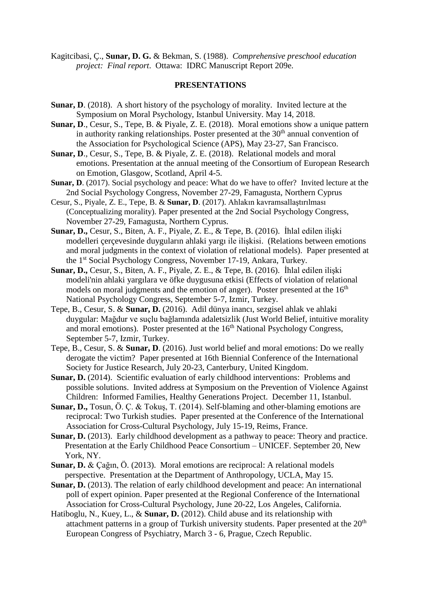Kagitcibasi, Ç., **Sunar, D. G.** & Bekman, S. (1988). *Comprehensive preschool education project: Final report*. Ottawa: IDRC Manuscript Report 209e.

#### **PRESENTATIONS**

- **Sunar, D.** (2018). A short history of the psychology of morality. Invited lecture at the Symposium on Moral Psychology, Istanbul University. May 14, 2018.
- **Sunar, D**., Cesur, S., Tepe, B. & Piyale, Z. E. (2018). Moral emotions show a unique pattern in authority ranking relationships. Poster presented at the  $30<sup>th</sup>$  annual convention of the Association for Psychological Science (APS), May 23-27, San Francisco.
- **Sunar, D**., Cesur, S., Tepe, B. & Piyale, Z. E. (2018). Relational models and moral emotions. Presentation at the annual meeting of the Consortium of European Research on Emotion, Glasgow, Scotland, April 4-5.
- **Sunar, D.** (2017). Social psychology and peace: What do we have to offer? Invited lecture at the 2nd Social Psychology Congress, November 27-29, Famagusta, Northern Cyprus
- Cesur, S., Piyale, Z. E., Tepe, B. & **Sunar, D**. (2017). Ahlakın kavramsallaştırılması (Conceptualizing morality). Paper presented at the 2nd Social Psychology Congress, November 27-29, Famagusta, Northern Cyprus.
- **Sunar, D.,** Cesur, S., Biten, A. F., Piyale, Z. E., & Tepe, B. (2016). İhlal edilen ilişki modelleri çerçevesinde duyguların ahlaki yargı ile ilişkisi. (Relations between emotions and moral judgments in the context of violation of relational models). Paper presented at the 1st Social Psychology Congress, November 17-19, Ankara, Turkey.
- **Sunar, D.,** Cesur, S., Biten, A. F., Piyale, Z. E., & Tepe, B. (2016). İhlal edilen ilişki modeli'nin ahlaki yargılara ve öfke duygusuna etkisi (Effects of violation of relational models on moral judgments and the emotion of anger). Poster presented at the  $16<sup>th</sup>$ National Psychology Congress, September 5-7, Izmir, Turkey.
- Tepe, B., Cesur, S. & **Sunar, D.** (2016). Adil dünya inancı, sezgisel ahlak ve ahlaki duygular: Mağdur ve suçlu bağlamında adaletsizlik (Just World Belief, intuitive morality and moral emotions). Poster presented at the  $16<sup>th</sup>$  National Psychology Congress, September 5-7, Izmir, Turkey.
- Tepe, B., Cesur, S. & **Sunar, D**. (2016). Just world belief and moral emotions: Do we really derogate the victim? Paper presented at 16th Biennial Conference of the International Society for Justice Research, July 20-23, Canterbury, United Kingdom.
- **Sunar, D.** (2014). Scientific evaluation of early childhood interventions: Problems and possible solutions. Invited address at Symposium on the Prevention of Violence Against Children: Informed Families, Healthy Generations Project. December 11, Istanbul.
- **Sunar, D.,** Tosun, Ö. Ç. & Tokuş, T. (2014). Self-blaming and other-blaming emotions are reciprocal: Two Turkish studies. Paper presented at the Conference of the International Association for Cross-Cultural Psychology, July 15-19, Reims, France.
- **Sunar, D.** (2013). Early childhood development as a pathway to peace: Theory and practice. Presentation at the Early Childhood Peace Consortium – UNICEF. September 20, New York, NY.
- **Sunar, D.** & Çağın, Ö. (2013). Moral emotions are reciprocal: A relational models perspective. Presentation at the Department of Anthropology, UCLA, May 15.
- **Sunar, D.** (2013). The relation of early childhood development and peace: An international poll of expert opinion. Paper presented at the Regional Conference of the International Association for Cross-Cultural Psychology, June 20-22, Los Angeles, California.
- Hatiboglu, N., Kuey, L., & **Sunar, D.** (2012). Child abuse and its relationship with attachment patterns in a group of Turkish university students. Paper presented at the 20<sup>th</sup> European Congress of Psychiatry, March 3 - 6, Prague, Czech Republic.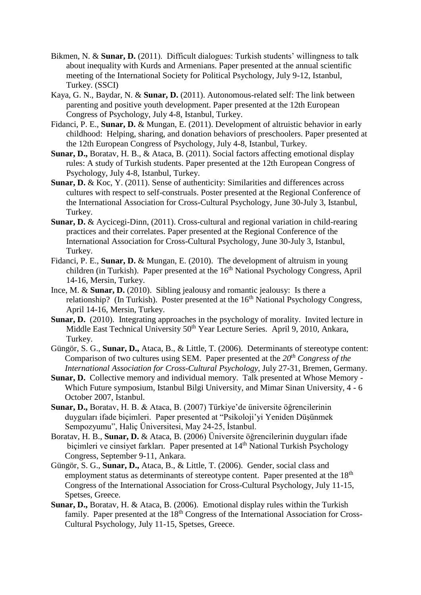- Bikmen, N. & **Sunar, D.** (2011). Difficult dialogues: Turkish students' willingness to talk about inequality with Kurds and Armenians. Paper presented at the annual scientific meeting of the International Society for Political Psychology, July 9-12, Istanbul, Turkey. (SSCI)
- Kaya, G. N., Baydar, N. & **Sunar, D.** (2011). Autonomous-related self: The link between parenting and positive youth development. Paper presented at the 12th European Congress of Psychology, July 4-8, Istanbul, Turkey.
- Fidanci, P. E., **Sunar, D.** & Mungan, E. (2011). Development of altruistic behavior in early childhood: Helping, sharing, and donation behaviors of preschoolers. Paper presented at the 12th European Congress of Psychology, July 4-8, Istanbul, Turkey.
- **Sunar, D.,** Boratav, H. B., & Ataca, B. (2011). Social factors affecting emotional display rules: A study of Turkish students. Paper presented at the 12th European Congress of Psychology, July 4-8, Istanbul, Turkey.
- **Sunar, D.** & Koc, Y. (2011). Sense of authenticity: Similarities and differences across cultures with respect to self-construals. Poster presented at the Regional Conference of the International Association for Cross-Cultural Psychology, June 30-July 3, Istanbul, Turkey.
- **Sunar, D.** & Aycicegi-Dinn, (2011). Cross-cultural and regional variation in child-rearing practices and their correlates. Paper presented at the Regional Conference of the International Association for Cross-Cultural Psychology, June 30-July 3, Istanbul, Turkey.
- Fidanci, P. E., **Sunar, D.** & Mungan, E. (2010). The development of altruism in young children (in Turkish). Paper presented at the 16<sup>th</sup> National Psychology Congress, April 14-16, Mersin, Turkey.
- Ince, M. & **Sunar, D.** (2010). Sibling jealousy and romantic jealousy: Is there a relationship? (In Turkish). Poster presented at the  $16<sup>th</sup>$  National Psychology Congress, April 14-16, Mersin, Turkey.
- **Sunar, D.** (2010). Integrating approaches in the psychology of morality. Invited lecture in Middle East Technical University 50<sup>th</sup> Year Lecture Series. April 9, 2010, Ankara, Turkey.
- Güngör, S. G., **Sunar, D.,** Ataca, B., & Little, T. (2006). Determinants of stereotype content: Comparison of two cultures using SEM. Paper presented at the *20th Congress of the International Association for Cross-Cultural Psychology,* July 27-31, Bremen, Germany.
- **Sunar, D.** Collective memory and individual memory. Talk presented at Whose Memory Which Future symposium, Istanbul Bilgi University, and Mimar Sinan University, 4 - 6 October 2007, Istanbul.
- **Sunar, D.,** Boratav, H. B. & Ataca, B. (2007) Türkiye'de üniversite öğrencilerinin duyguları ifade biçimleri. Paper presented at "Psikoloji'yi Yeniden Düşünmek Sempozyumu", Haliç Üniversitesi, May 24-25, İstanbul.
- Boratav, H. B., **Sunar, D.** & Ataca, B. (2006) Üniversite öğrencilerinin duyguları ifade bicimleri ve cinsivet farkları. Paper presented at 14<sup>th</sup> National Turkish Psychology Congress, September 9-11, Ankara.
- Güngör, S. G., **Sunar, D.,** Ataca, B., & Little, T. (2006). Gender, social class and employment status as determinants of stereotype content. Paper presented at the  $18<sup>th</sup>$ Congress of the International Association for Cross-Cultural Psychology, July 11-15, Spetses, Greece.
- **Sunar, D.,** Boratav, H. & Ataca, B. (2006). Emotional display rules within the Turkish family. Paper presented at the  $18<sup>th</sup>$  Congress of the International Association for Cross-Cultural Psychology, July 11-15, Spetses, Greece.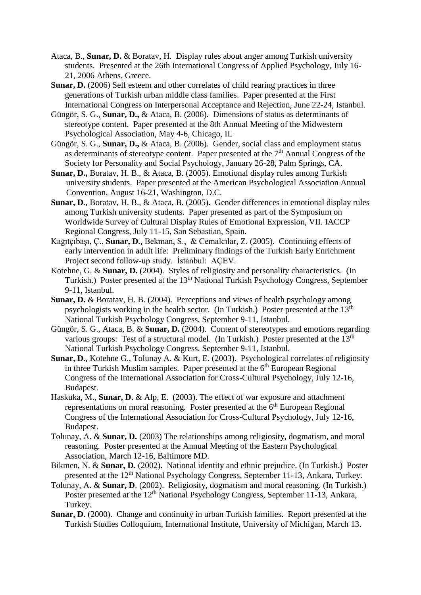- Ataca, B., **Sunar, D.** & Boratav, H. Display rules about anger among Turkish university students. Presented at the 26th International Congress of Applied Psychology, July 16- 21, 2006 Athens, Greece.
- **Sunar, D.** (2006) Self esteem and other correlates of child rearing practices in three generations of Turkish urban middle class families. Paper presented at the First International Congress on Interpersonal Acceptance and Rejection, June 22-24, Istanbul.
- Güngör, S. G., **Sunar, D.,** & Ataca, B. (2006). Dimensions of status as determinants of stereotype content. Paper presented at the 8th Annual Meeting of the Midwestern Psychological Association, May 4-6, Chicago, IL
- Güngör, S. G., **Sunar, D.,** & Ataca, B. (2006). Gender, social class and employment status as determinants of stereotype content. Paper presented at the 7<sup>th</sup> Annual Congress of the Society for Personality and Social Psychology, January 26-28, Palm Springs, CA.
- **Sunar, D.,** Boratav, H. B., & Ataca, B. (2005). Emotional display rules among Turkish university students. Paper presented at the American Psychological Association Annual Convention, August 16-21, Washington, D.C.
- **Sunar, D.,** Boratav, H. B., & Ataca, B. (2005). Gender differences in emotional display rules among Turkish university students. Paper presented as part of the Symposium on Worldwide Survey of Cultural Display Rules of Emotional Expression, VII. IACCP Regional Congress, July 11-15, San Sebastian, Spain.
- Kağıtçıbaşı, Ç., **Sunar, D.,** Bekman, S., & Cemalcılar, Z. (2005). Continuing effects of early intervention in adult life: Preliminary findings of the Turkish Early Enrichment Project second follow-up study. İstanbul: AÇEV.
- Kotehne, G. & **Sunar, D.** (2004). Styles of religiosity and personality characteristics. (In Turkish.) Poster presented at the 13<sup>th</sup> National Turkish Psychology Congress, September 9-11, Istanbul.
- **Sunar, D.** & Boratav, H. B. (2004). Perceptions and views of health psychology among psychologists working in the health sector. (In Turkish.) Poster presented at the 13<sup>th</sup> National Turkish Psychology Congress, September 9-11, Istanbul.
- Güngör, S. G., Ataca, B. & **Sunar, D.** (2004). Content of stereotypes and emotions regarding various groups: Test of a structural model. (In Turkish.) Poster presented at the  $13<sup>th</sup>$ National Turkish Psychology Congress, September 9-11, Istanbul.
- **Sunar, D.,** Kotehne G., Tolunay A. & Kurt, E. (2003). Psychological correlates of religiosity in three Turkish Muslim samples. Paper presented at the  $6<sup>th</sup>$  European Regional Congress of the International Association for Cross-Cultural Psychology, July 12-16, Budapest.
- Haskuka, M., **Sunar, D.** & Alp, E. (2003). The effect of war exposure and attachment representations on moral reasoning. Poster presented at the  $6<sup>th</sup>$  European Regional Congress of the International Association for Cross-Cultural Psychology, July 12-16, Budapest.
- Tolunay, A. & **Sunar, D.** (2003) The relationships among religiosity, dogmatism, and moral reasoning. Poster presented at the Annual Meeting of the Eastern Psychological Association, March 12-16, Baltimore MD.
- Bikmen, N. & **Sunar, D.** (2002). National identity and ethnic prejudice. (In Turkish.) Poster presented at the 12<sup>th</sup> National Psychology Congress, September 11-13, Ankara, Turkey.
- Tolunay, A. & **Sunar, D**. (2002). Religiosity, dogmatism and moral reasoning. (In Turkish.) Poster presented at the 12<sup>th</sup> National Psychology Congress, September 11-13, Ankara, Turkey.
- **Sunar, D.** (2000). Change and continuity in urban Turkish families. Report presented at the Turkish Studies Colloquium, International Institute, University of Michigan, March 13.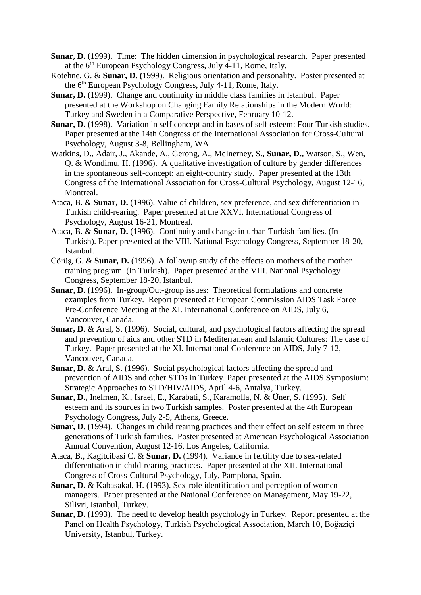- **Sunar, D.** (1999). Time: The hidden dimension in psychological research. Paper presented at the  $6<sup>th</sup>$  European Psychology Congress, July 4-11, Rome, Italy.
- Kotehne, G. & **Sunar, D. (**1999). Religious orientation and personality. Poster presented at the 6th European Psychology Congress, July 4-11, Rome, Italy.
- **Sunar, D.** (1999). Change and continuity in middle class families in Istanbul. Paper presented at the Workshop on Changing Family Relationships in the Modern World: Turkey and Sweden in a Comparative Perspective, February 10-12.
- **Sunar, D.** (1998). Variation in self concept and in bases of self esteem: Four Turkish studies. Paper presented at the 14th Congress of the International Association for Cross-Cultural Psychology, August 3-8, Bellingham, WA.
- Watkins, D., Adair, J., Akande, A., Gerong, A., McInerney, S., **Sunar, D.,** Watson, S., Wen, Q. & Wondimu, H. (1996). A qualitative investigation of culture by gender differences in the spontaneous self-concept: an eight-country study. Paper presented at the 13th Congress of the International Association for Cross-Cultural Psychology, August 12-16, Montreal.
- Ataca, B. & **Sunar, D.** (1996). Value of children, sex preference, and sex differentiation in Turkish child-rearing. Paper presented at the XXVI. International Congress of Psychology, August 16-21, Montreal.
- Ataca, B. & **Sunar, D.** (1996). Continuity and change in urban Turkish families. (In Turkish). Paper presented at the VIII. National Psychology Congress, September 18-20, Istanbul.
- Çörüş, G. & **Sunar, D.** (1996). A followup study of the effects on mothers of the mother training program. (In Turkish). Paper presented at the VIII. National Psychology Congress, September 18-20, Istanbul.
- **Sunar, D.** (1996). In-group/Out-group issues: Theoretical formulations and concrete examples from Turkey. Report presented at European Commission AIDS Task Force Pre-Conference Meeting at the XI. International Conference on AIDS, July 6, Vancouver, Canada.
- **Sunar, D.** & Aral, S. (1996). Social, cultural, and psychological factors affecting the spread and prevention of aids and other STD in Mediterranean and Islamic Cultures: The case of Turkey. Paper presented at the XI. International Conference on AIDS, July 7-12, Vancouver, Canada.
- **Sunar, D.** & Aral, S. (1996). Social psychological factors affecting the spread and prevention of AIDS and other STDs in Turkey. Paper presented at the AIDS Symposium: Strategic Approaches to STD/HIV/AIDS, April 4-6, Antalya, Turkey.
- **Sunar, D.,** Inelmen, K., Israel, E., Karabati, S., Karamolla, N. & Üner, S. (1995). Self esteem and its sources in two Turkish samples. Poster presented at the 4th European Psychology Congress, July 2-5, Athens, Greece.
- Sunar, D. (1994). Changes in child rearing practices and their effect on self esteem in three generations of Turkish families. Poster presented at American Psychological Association Annual Convention, August 12-16, Los Angeles, California.
- Ataca, B., Kagitcibasi C. & **Sunar, D.** (1994). Variance in fertility due to sex-related differentiation in child-rearing practices. Paper presented at the XII. International Congress of Cross-Cultural Psychology, July, Pamplona, Spain.
- **Sunar, D.** & Kabasakal, H. (1993). Sex-role identification and perception of women managers. Paper presented at the National Conference on Management, May 19-22, Silivri, Istanbul, Turkey.
- **Sunar, D.** (1993). The need to develop health psychology in Turkey. Report presented at the Panel on Health Psychology, Turkish Psychological Association, March 10, Boğaziçi University, Istanbul, Turkey.